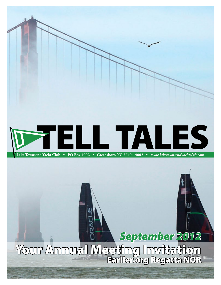

## *September 2012*

Your Annual Meeting Invitation Earlier.org Regatta NOR

Issue 8 • September 2012 *www.laketownsendyachtclub.com*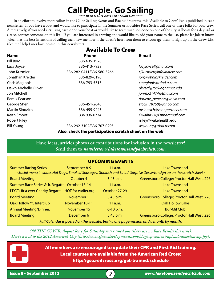## **Call People. Go Sailing**

*\*\*\*\* REACH OUT AND CALL SOMEONE \*\*\*\**

In an effort to involve more sailors in the Club's Sailing Events and Racing Programs, this "Available to Crew" list is published in each newsletter. If you have a boat and would like to participate in the Summer or Frostbite Race Series, call one of these folks for your crew. Alternatively, if you need a cruising partner on your boat or would like to team with someone on one of the city sailboats for a day sail or a race, contact someone on this list. If you are interested in crewing and would like to add your name to the list, please let Joleen know. Joleen has the best intentions of calling each new member if she doesn't hear from them to encourage them to sign up on the Crew List. (See the Help Lines box located in this newsletter).

|                      | <b>Available To Crew</b>  |                            |
|----------------------|---------------------------|----------------------------|
| Name                 | <b>Phone</b>              | E-mail                     |
| <b>Bill Byrd</b>     | 336-635-1926              |                            |
| Lacy Joyce           | 336-413-7929              | lacyjoyce@gmail.com        |
| John Kuzmier         | 336-282-0411/336-580-5766 | cjkuzmier@infolinktele.com |
| Jonathan Kreider     | 336-829-6196              | jon@robbinskreider.com     |
| Chris Maginnis       | 336-793-5313              | cmaginnis@triad.rr.com     |
| Dawn-Michelle Oliver |                           | oliverd@rockinghamcc.edu   |
| Jon Mitchell         |                           | jonm5214@hotmail.com       |
| Remik Pearson        |                           | darlene_pearson@volvo.com  |
| George Shen          | 336-451-2646              | stock_78750@yahoo.com      |
| Martin Sinozich      | 336-455-9445              | msinozich@vennpartners.com |
| Keith Smoot          | 336 996-6734              | Gwaihir23@Embargmail.com   |
| <b>Robert Riley</b>  |                           | rriley@wakehealth.edu      |
| <b>Bill Young</b>    | 336-292-3102/336-707-0295 | woyoung@triad.rr.com       |
|                      |                           |                            |

Also, check the participation scratch sheet on the web

**Have ideas, articles,photos or contributions for inclusion in the newsletter? Send them to** *newsletter@laketownsendyachtclub.com.*

#### UPCOMING EVENTS

Summer Racing Series September 8-9 11 a.m. Lake Townsend • Social menu includes Hot Dogs, Smoked Sausages, Goulash and Salad. Surprise Desserts • sign up on the scratch sheet •

| <b>Board Meeting</b>                                                                  | October 4      | 5:45 p.m.     | Greensboro College; Proctor Hall West, 226 |  |  |
|---------------------------------------------------------------------------------------|----------------|---------------|--------------------------------------------|--|--|
| Summer Race Series & Jr. Regatta October 13-14                                        |                | $11$ a.m.     | <b>Lake Townsend</b>                       |  |  |
| LTYC's first ever Charity Regatta - HOT for earlier.org                               |                | October 27-29 | <b>Lake Townsend</b>                       |  |  |
| <b>Board Meeting</b>                                                                  | November 1     | 5:45 p.m.     | Greensboro College; Proctor Hall West, 226 |  |  |
| <b>Oak Hollow YC Interclub</b>                                                        | November 10-11 | 11 a.m.       | <b>Oak Hollow Lake</b>                     |  |  |
| <b>Annual Meeting/Dinner.</b>                                                         | November 15    | $6 - 10$ p.m. | <b>Bur-Mil Club</b>                        |  |  |
| <b>Board Meeting</b>                                                                  | December 6     | 5:45 p.m.     | Greensboro College; Proctor Hall West, 226 |  |  |
| Full Calendar is posted on the website, both a one page version and a month by month. |                |               |                                            |  |  |

*ON THE COVER: August Race for Saturday was rained out (there are no Race Results this issue). Here's a nod to the 2012 America's Cup.(http://www.sfnewdevelopments.com/blog/wp-content/uploads/americascup.jpg).*

> All members are encouraged to update their CPR and First Aid training. Local courses are available from the American Red Cross: http://gso.redcross.org/get-trained/schedule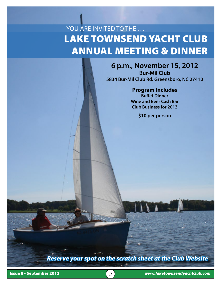## Lake Townsend Yacht Club ANNUAL MEETING & Dinner YOU ARE INVITED TO THE . . .

#### **6 p.m., November 15, 2012**

**Bur-Mil Club 5834 Bur-Mil Club Rd. Greensboro, NC 27410**

#### **Program Includes**

**Buffet Dinner Wine and Beer Cash Bar Club Business for 2013**

**\$10 per person** 

*Reserve your spot on the scratch sheet at the Club Website*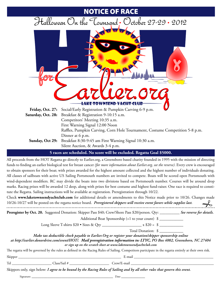## NOTICE OF RACE Halloween On the Townsend: October 27-29 . 2012 LAKE-TOWNSEND-YACHT-C **Friday, Oct. 27:** Social/Early Registration & Pumpkin Carving 6-9 p.m. **Saturday, Oct. 28:** Breakfast & Registration 9-10:15 a.m. Competitors' Meeting 10:35 a.m. First Warning Signal 12:00 Noon Raffles, Pumpkin Carving, Corn Hole Tournament, Costume Competition 5-8 p.m. Dinner at 6 p.m. **Sunday, Oct 29:** Breakfast 8:30-9:45 am First Warning Signal 10:30 a.m. Silent Auction, & Awards 3-4 p.m. **5 races are scheduled. No score will be excluded. Regatta Goal \$5000.**

All proceeds from the HOT Regatta go directly to Earlier.org, a Greensboro based charity founded in 1995 with the mission of directing funds to finding an earlier biological test for breast cancer *(for more information about Earlier.org, see the reverse)*. Every crew is encouraged to obtain sponsors for their boat; with prizes awarded for the highest amount collected and the highest number of individuals donating. All classes of sailboats with active US Sailing Portsmouth numbers are invited to compete. Boats will be scored open Portsmouth with wind-dependent modifiers. RC may divide the boats into two divisions based on Portsmouth number. Courses will be around drop marks. Racing prizes will be awarded 12 deep, along with prizes for best costume and highest fund-raiser. One race is required to constitute the Regatta. Sailing instructions will be available at registration. Preregistration through 10/22.

Check **www.laketownsendyachtclub.com** for additional details or amendments to this Notice made prior to 10/26. Changes made  $\rightarrow$ 10/26-10/27 will be posted on the regatta notice board. *Preregistered skippers will receive event favors while supplies last.* Preregister by Oct. 20. Suggested Donation: Skipper Pass \$40; Crew/Shore Pass \$20/person. Qty: \_\_\_\_\_\_\_\_\_\_\_ See reverse for details. Additional Boat Sponsorship (+1 to your count) \$

Long Sleeve T-shirts \$20 • Sizes & Qty \_\_\_\_\_\_\_\_\_\_\_\_\_\_\_\_\_\_\_\_ x \$20 = \$ \_\_\_\_\_\_\_\_\_\_\_\_

Total Donation: \$

*Make tax deductible check payable to Earlier.Org or register your donation/skipper sponsorship online* 

*at http://earlier.donordrive.com/event/HOT/. Mail preregistration information to: LTYC, PO Box 4002, Greensboro, NC 27404 or sign up on the scratch sheet at www.laketownsendyachtclub.com* 

The regatta will be governed by the rules as defined in the Racing Rules of Sailing. Competitors participate in the regatta entirely at their own risk.

Tel \_\_\_\_\_\_\_\_\_\_\_\_\_\_\_\_\_\_\_\_\_\_ Class/Sail # \_\_\_\_\_\_\_\_\_\_\_\_\_\_\_\_\_\_\_\_\_\_ Crew/E-mail \_\_\_\_\_\_\_\_\_\_\_\_\_\_\_\_\_\_\_\_\_\_\_\_\_\_\_\_\_\_\_\_\_\_\_\_\_\_\_\_\_\_\_\_\_\_

Skipper \_\_\_\_\_\_\_\_\_\_\_\_\_\_\_\_\_\_\_\_\_\_\_\_\_\_\_\_\_\_\_\_\_\_\_\_\_\_\_\_\_\_\_\_\_\_\_\_\_\_\_\_\_\_\_\_\_ E-mail \_\_\_\_\_\_\_\_\_\_\_\_\_\_\_\_\_\_\_\_\_\_\_\_\_\_\_\_\_\_\_\_\_\_\_\_\_\_\_\_\_\_\_\_

Skippers only, sign below: *I agree to be bound by the Racing Rules of Sailing and by all other rules that govern this event.*<br>Signature:

Signature: \_\_\_\_\_\_\_\_\_\_\_\_\_\_\_\_\_\_\_\_\_\_\_\_\_\_\_\_\_\_\_\_\_\_\_\_\_\_\_\_\_ Date \_\_\_\_\_\_\_\_\_\_\_\_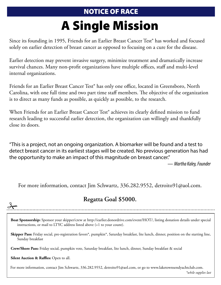### NOTICE OF RACE

# A Single Mission

Since its founding in 1995, Friends for an Earlier Breast Cancer Test® has worked and focused solely on earlier detection of breast cancer as opposed to focusing on a cure for the disease.

Earlier detection may prevent invasive surgery, minimize treatment and dramatically increase survival chances. Many non-profit organizations have multiple offices, staff and multi-level internal organizations.

Friends for an Earlier Breast Cancer Test® has only one office, located in Greensboro, North Carolina, with one full time and two part time staff members. The objective of the organization is to direct as many funds as possible, as quickly as possible, to the research.

When Friends for an Earlier Breast Cancer Test® achieves its clearly defined mission to fund research leading to successful earlier detection, the organization can willingly and thankfully close its doors.

"This is a project, not an ongoing organization. A biomarker will be found and a test to detect breast cancer in its earliest stages will be created. No previous generation has had the opportunity to make an impact of this magnitude on breast cancer."

— *Martha Kaley, Founder*

For more information, contact Jim Schwartz, 336.282.9552, detroito91@aol.com.

#### **Regatta Goal \$5000.**

**Boat Sponsorship:** Sponsor your skipper/crew at http://earlier.donordrive.com/event/HOT/, listing donation details under special

instructions, or mail to LTYC address listed above (+1 to your count).

**Skipper Pass:** Friday social, pre-registration favors\*, pumpkin\*, Saturday breakfast, lite lunch, dinner, position on the starting line, Sunday breakfast

**Crew/Shore Pass:** Friday social, pumpkin vote, Saturday breakfast, lite lunch, dinner, Sunday breakfast & social

**Silent Auction & Raffles:** Open to all.

 $\frac{9}{2}$ 

For more information, contact Jim Schwartz, 336.282.9552, detroito91@aol.com, or go to www.laketownsendyachtclub.com.

 $*$ *while supplies lask \*while supplies last*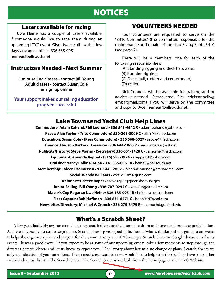### NOTICES

#### Lasers available for racing

 Uwe Heine has a couple of Lasers available, if someone would like to race them during an upcoming LTYC event. Give Uwe a call - with a few days' advance notice - 336 585-0951 heineu@bellsouth.net

#### Instructors Needed • Next Summer

**Junior sailing classes - contact Bill Young Adult classes - contact Susan Cole or sign up online**

**Your support makes our sailing education program successful**

#### VOLUNTEERS NEEDED

Four volunteers are requested to serve on the "3410 Committee" (the committee responsible for the maintenance and repairs of the club Flying Scot #3410 (see page 7).

There will be 4 members, one for each of the following responsibilities:

(A) Standing rigging and deck hardware;

(B) Running rigging;

- (C) Deck, hull, rudder and centerboard;
- (D) trailer.

Rick Connelly will be available for training and or advice as needed. Please email Rick (crickconnelly@ embarqmail.com) if you will serve on the committee and copy to Uwe (heineu@bellsouth.net).

#### Lake Townsend Yacht Club Help Lines

**Commodore: Adam Zahand/Phil Leonard • 336 543-4942 R •** adam\_zahand@yahoo.com **Races: Alan Taylor • (Vice Commodore) 530-263-3009 C •** alan@lakelevel.com **Education: Susan Cole • (Rear Commodore) • 336 668-0527 •** sscole@triad.rr.com **Finance: Hudson Barker • (Treasurer) 336 644-1060 R •** hudsonbarker@att.net **Publicity/History: Steve Morris • (Secretary) 336 601-1428 C •** samorris@triad.rr.com **Equipment: Amanda Reppel • (315) 558-3974 •** areppel81@yahoo.com **Cruising: Nancy Collins-Heine • 336 585-0951 R •** heineu@bellsouth.net **Membership: Joleen Rasmussen • 919-440-2802 •** joleenrasmussen@embarqmail.com **Social: Wanda Williams •** wkawilliams@juno.com **Webmaster: Steve Raper •** Steve.raper@greensboro-nc.gov **Junior Sailing: Bill Young • 336-707-0295 C •** woyoung@triad.rr.com **Mayor's Cup Regatta: Uwe Heine• 336 585-0951 R •** heineu@bellsouth.net **Fleet Captain: Bob Hoffman • 336 831-6271 C •** bobh9447@aol.com **Newsletter/Directory: Michael V. Crouch • 336 275-3475 R •** mcrouch@guilford.edu

#### What's a Scratch Sheet?

 $\overline{a}$ 

A few years back, big regattas started posting scratch sheets on the internet to drum up interest and promote participation. As there is typically no cost to signing up, Scratch Sheets give a good indication of who is thinking about going to an event. It helps the organizers plan and prepare for the event. Last year, LTYC set up a Scratch Sheet in Google documents for its events. It was a good move. If you expect to be at some of our upcoming events, take a few moments to step through the different Scratch Sheets and let us know to expect you. Don' worry about last minute change of plans, Scratch Sheets are only an indication of your intentions. If you need crew, want to crew, would like to help with the social, or have some other creative idea, just list it in the Scratch Sheet. The Scratch Sheet is available from the home page or the LTYC Website.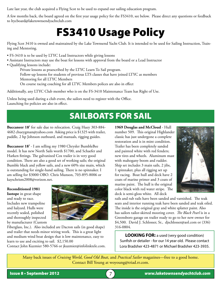Late last year, the club acquired a Flying Scot to be used to expand our sailing education program.

A few months back, the board agreed on the first year usage policy for the FS3410, see below. Please direct any questions or feedback to ltycboard@laketownsendyachtclub.com

## FS3410 Usage Policy

Flying Scot 3410 is owned and maintained by the Lake Townsend Yacht Club. It is intended to be used for Sailing Instruction, Training and Mentoring.

- FS-3410 is to be used by LTYC Lead Instructors while giving lessons
- Assistant Instructors may use the boat for lessons with approval from the board or a Lead Instructor
- Qualifying lessons include:

Private lessons as praescribed by the LTYC Learn To Sail program.

- Follow-up lessons for students of previous LTS classes that have joined LTYC as members Mentoring for all LTYC Members
- On course racing coaching for all LTYC Members polices are also in effect

Additionally, any LTYC Club member who is on the FS-3410 Maintenance Team has Right of Use.

Unless being used during a club event, the sailors need to register with the Office. Launching fee policies are also in effect.

### SAILBOATS FOR SAIL

**Buccaneer 18'** for sale due to relocation. Craig Huey 303-884- 4682 chueygman@yahoo.com Asking price is \$1325 with trailer, paddle, 2 hp Johnson outboard, and manuals, rigging guides.

**Buccaneer 18'** - I am selling my 1980 Chrysler BumbleBee model. It has new North Sails worth \$1700, and Schaefer and Harken fittings. The galvanized Cox trailer is in very good condition. There are also a good set of working sails; the original Bumble black and yellow sails, and a new 60% size main, which is outstanding for single-hand sailing. There is no spinnaker. I am selling for \$3000 OBO. Chris Munson, 703-895-8006 or kayschrism2008@verizon.net.

#### **Reconditioned 1981**

**Isotope** in great shape and ready to race. Includes new trampoline and halyard. Hulls were recently sealed, polished and thoroughly inspected by manufacturer (Custom



Fiberglass, Inc.). Also included are Dacron sails (in good shape) and trailer that needs minor wiring work. This is a great light and medium wind boat design that is low maintenance, easy to learn to use and exciting to sail. \$2,150.00

Contact John Kuzmier 580-5766 or jkuzmier@infolinktele.com.

**1969 Douglas and McCloud** - Hull number 509. This original Highlander classic has just undergone a complete restoration and is in mint condition. Trailer has been completely sanded and painted white with red fenders; new tires and wheels. Aluminum mast with mahogany boom and rudder. Ship set includes 3 main sails, 2 jibs, 1 spinnaker, plus all rigging set up for racing. Boat hull and deck have 2 coats of marine primer and 3 coats of marine paint. The hull is the original color black with red water stripe. The deck is semi-gloss white. All deck



rails and rub rails have been sanded and varnished. The teak seats and interior running teak have been sanded and teak oiled. The inside is the original gray and white splatter paint. Also has sailors tailor-skirted mooring cover. *The Black Pearl* is in a Greensboro garage on trailer ready to go to her new owner for \$4,500. David J. Schlosser, Sr., djschlosser@aol.com or (336) 316-0804.

**LOOKING FOR:** a used (very good condition) Sunfish or detailer - for our 14 year old. Please contact Lora Bradsher 423-4871 or Michael Bradsher 423-3935.

Many back issues of *Cruising World*, *Good Old Boat*, and *Practical Sailor* magazines—free to a good home. Contact Bill Young at woyoung@triad.rr.com.